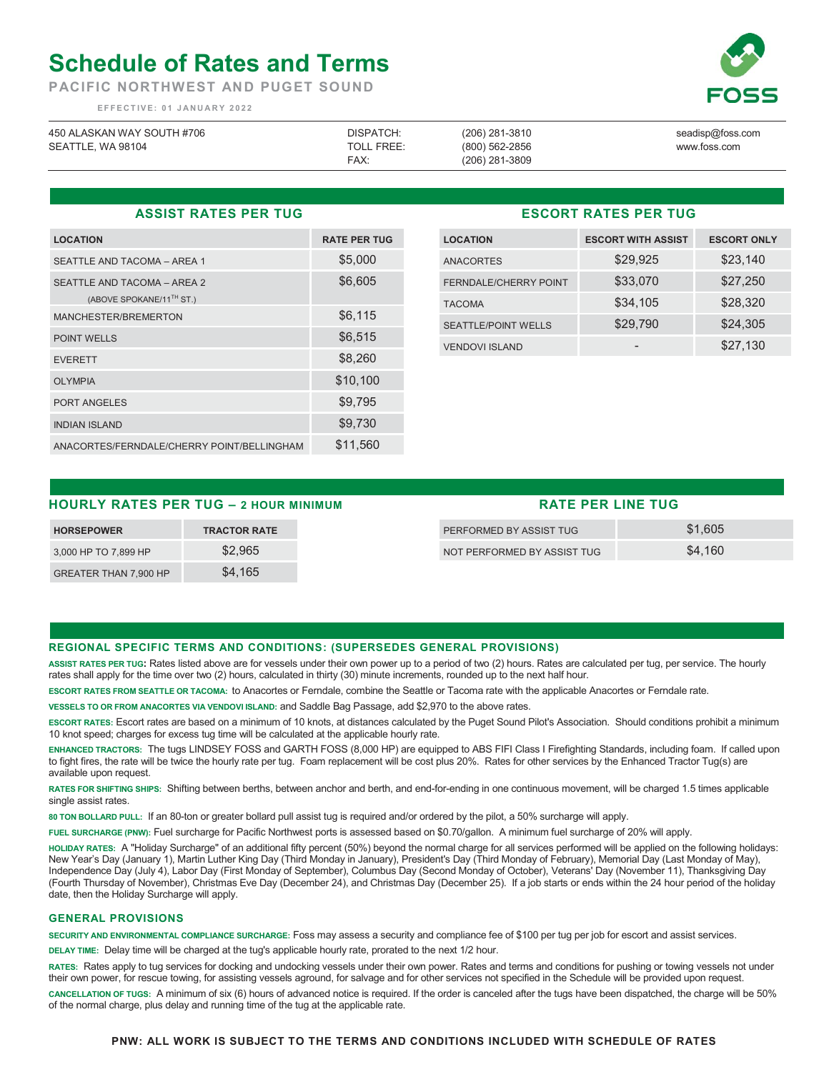# **Schedule of Rates and Terms**

**PACIFIC NORTHWEST AND PUGET SOUND** 

 **EFFECTIVE: 01 JANUARY 2022** 

| 450 ALASKAN WAY SOUTH #706 | DISPATCH:         | (206) 281-3810   | seadisp@foss.com |
|----------------------------|-------------------|------------------|------------------|
| SEATTLE, WA 98104          | <b>TOLL FREE:</b> | (800) 562-2856   | www.foss.com     |
|                            | FAX:              | $(206)$ 281-3809 |                  |

### **ASSIST RATES PER TUG**

| <b>LOCATION</b>                                                     | <b>RATE PER TUG</b> |
|---------------------------------------------------------------------|---------------------|
| SEATTLE AND TACOMA - AREA 1                                         | \$5,000             |
| SEATTLE AND TACOMA - AREA 2<br>(ABOVE SPOKANE/11 <sup>TH</sup> ST.) | \$6,605             |
| MANCHESTER/BREMERTON                                                | \$6,115             |
| <b>POINT WELLS</b>                                                  | \$6,515             |
| <b>EVERETT</b>                                                      | \$8,260             |
| <b>OLYMPIA</b>                                                      | \$10,100            |
| <b>PORT ANGELES</b>                                                 | \$9,795             |
| <b>INDIAN ISLAND</b>                                                | \$9,730             |
| ANACORTES/FERNDALE/CHERRY POINT/BELLINGHAM                          | \$11,560            |

## **ESCORT RATES PER TUG**

| <b>LOCATION</b>              | <b>ESCORT WITH ASSIST</b> | <b>ESCORT ONLY</b> |
|------------------------------|---------------------------|--------------------|
| <b>ANACORTES</b>             | \$29,925                  | \$23,140           |
| <b>FERNDALE/CHERRY POINT</b> | \$33,070                  | \$27,250           |
| <b>TACOMA</b>                | \$34,105                  | \$28,320           |
| <b>SEATTLE/POINT WELLS</b>   | \$29,790                  | \$24,305           |
| <b>VENDOVI ISLAND</b>        |                           | \$27,130           |

# **HOURLY RATES PER TUG – 2 HOUR MINIMUM**

| <b>HORSEPOWER</b>            | <b>TRACTOR RATE</b> |
|------------------------------|---------------------|
| 3,000 HP TO 7,899 HP         | \$2.965             |
| <b>GREATER THAN 7.900 HP</b> | \$4.165             |

| <b>RATE PER LINE TUG</b>    |         |  |  |
|-----------------------------|---------|--|--|
| PERFORMED BY ASSIST TUG     | \$1,605 |  |  |
| NOT PERFORMED BY ASSIST TUG | \$4.160 |  |  |

#### **REGIONAL SPECIFIC TERMS AND CONDITIONS: (SUPERSEDES GENERAL PROVISIONS)**

**ASSIST RATES PER TUG:** Rates listed above are for vessels under their own power up to a period of two (2) hours. Rates are calculated per tug, per service. The hourly rates shall apply for the time over two (2) hours, calculated in thirty (30) minute increments, rounded up to the next half hour.

**ESCORT RATES FROM SEATTLE OR TACOMA:** to Anacortes or Ferndale, combine the Seattle or Tacoma rate with the applicable Anacortes or Ferndale rate.

**VESSELS TO OR FROM ANACORTES VIA VENDOVI ISLAND:** and Saddle Bag Passage, add \$2,970 to the above rates.

**ESCORT RATES:** Escort rates are based on a minimum of 10 knots, at distances calculated by the Puget Sound Pilot's Association. Should conditions prohibit a minimum 10 knot speed; charges for excess tug time will be calculated at the applicable hourly rate.

**ENHANCED TRACTORS:** The tugs LINDSEY FOSS and GARTH FOSS (8,000 HP) are equipped to ABS FIFI Class I Firefighting Standards, including foam. If called upon to fight fires, the rate will be twice the hourly rate per tug. Foam replacement will be cost plus 20%. Rates for other services by the Enhanced Tractor Tug(s) are available upon request.

**RATES FOR SHIFTING SHIPS:** Shifting between berths, between anchor and berth, and end-for-ending in one continuous movement, will be charged 1.5 times applicable single assist rates.

**80 TON BOLLARD PULL:** If an 80-ton or greater bollard pull assist tug is required and/or ordered by the pilot, a 50% surcharge will apply.

**FUEL SURCHARGE (PNW):** Fuel surcharge for Pacific Northwest ports is assessed based on \$0.70/gallon. A minimum fuel surcharge of 20% will apply.

**HOLIDAY RATES:** A "Holiday Surcharge" of an additional fifty percent (50%) beyond the normal charge for all services performed will be applied on the following holidays: New Year's Day (January 1), Martin Luther King Day (Third Monday in January), President's Day (Third Monday of February), Memorial Day (Last Monday of May), Independence Day (July 4), Labor Day (First Monday of September), Columbus Day (Second Monday of October), Veterans' Day (November 11), Thanksgiving Day (Fourth Thursday of November), Christmas Eve Day (December 24), and Christmas Day (December 25). If a job starts or ends within the 24 hour period of the holiday date, then the Holiday Surcharge will apply.

#### **GENERAL PROVISIONS**

**SECURITY AND ENVIRONMENTAL COMPLIANCE SURCHARGE:** Foss may assess a security and compliance fee of \$100 per tug per job for escort and assist services.

**DELAY TIME:** Delay time will be charged at the tug's applicable hourly rate, prorated to the next 1/2 hour.

**RATES:** Rates apply to tug services for docking and undocking vessels under their own power. Rates and terms and conditions for pushing or towing vessels not under their own power, for rescue towing, for assisting vessels aground, for salvage and for other services not specified in the Schedule will be provided upon request. **CANCELLATION OF TUGS:** A minimum of six (6) hours of advanced notice is required. If the order is canceled after the tugs have been dispatched, the charge will be 50% of the normal charge, plus delay and running time of the tug at the applicable rate.